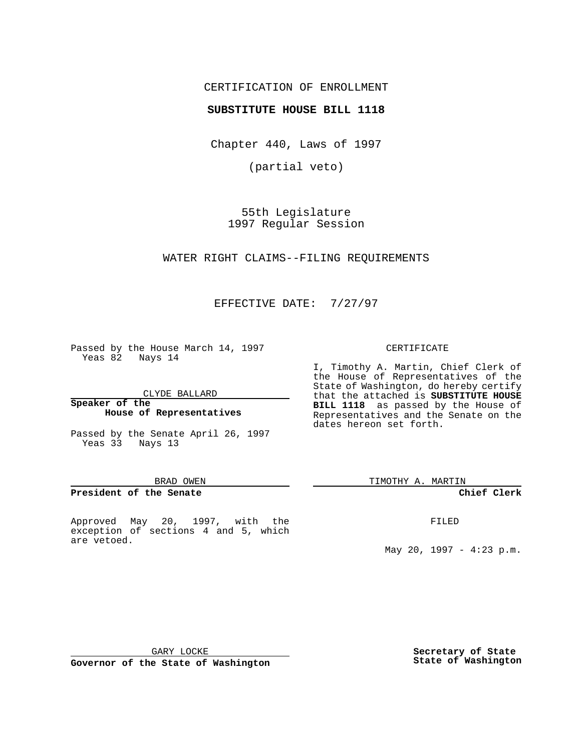## CERTIFICATION OF ENROLLMENT

## **SUBSTITUTE HOUSE BILL 1118**

Chapter 440, Laws of 1997

(partial veto)

55th Legislature 1997 Regular Session

WATER RIGHT CLAIMS--FILING REQUIREMENTS

EFFECTIVE DATE: 7/27/97

Passed by the House March 14, 1997 Yeas 82 Nays 14

CLYDE BALLARD

#### **Speaker of the House of Representatives**

Passed by the Senate April 26, 1997 Yeas 33 Nays 13

#### BRAD OWEN

### **President of the Senate**

Approved May 20, 1997, with the exception of sections 4 and 5, which are vetoed.

#### CERTIFICATE

I, Timothy A. Martin, Chief Clerk of the House of Representatives of the State of Washington, do hereby certify that the attached is **SUBSTITUTE HOUSE BILL 1118** as passed by the House of Representatives and the Senate on the dates hereon set forth.

TIMOTHY A. MARTIN

### **Chief Clerk**

FILED

May 20, 1997 - 4:23 p.m.

GARY LOCKE

**Governor of the State of Washington**

**Secretary of State State of Washington**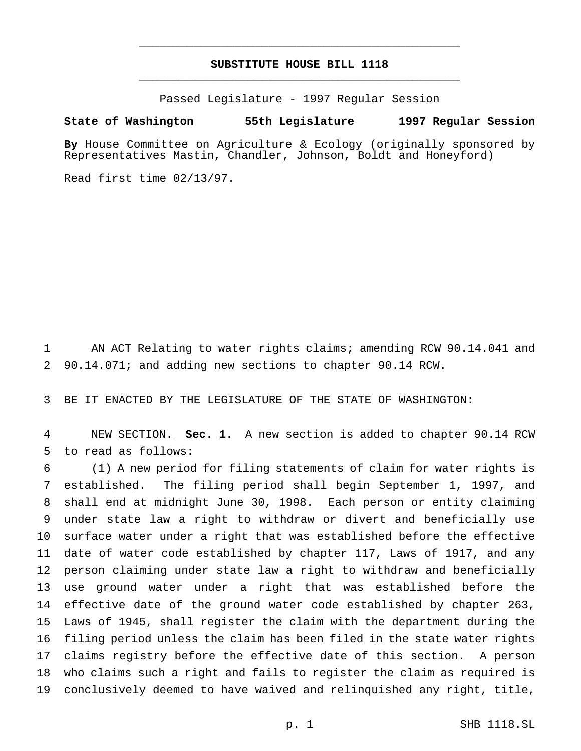# **SUBSTITUTE HOUSE BILL 1118** \_\_\_\_\_\_\_\_\_\_\_\_\_\_\_\_\_\_\_\_\_\_\_\_\_\_\_\_\_\_\_\_\_\_\_\_\_\_\_\_\_\_\_\_\_\_\_

\_\_\_\_\_\_\_\_\_\_\_\_\_\_\_\_\_\_\_\_\_\_\_\_\_\_\_\_\_\_\_\_\_\_\_\_\_\_\_\_\_\_\_\_\_\_\_

Passed Legislature - 1997 Regular Session

#### **State of Washington 55th Legislature 1997 Regular Session**

**By** House Committee on Agriculture & Ecology (originally sponsored by Representatives Mastin, Chandler, Johnson, Boldt and Honeyford)

Read first time 02/13/97.

 AN ACT Relating to water rights claims; amending RCW 90.14.041 and 90.14.071; and adding new sections to chapter 90.14 RCW.

BE IT ENACTED BY THE LEGISLATURE OF THE STATE OF WASHINGTON:

 NEW SECTION. **Sec. 1.** A new section is added to chapter 90.14 RCW to read as follows:

 (1) A new period for filing statements of claim for water rights is established. The filing period shall begin September 1, 1997, and shall end at midnight June 30, 1998. Each person or entity claiming under state law a right to withdraw or divert and beneficially use surface water under a right that was established before the effective date of water code established by chapter 117, Laws of 1917, and any person claiming under state law a right to withdraw and beneficially use ground water under a right that was established before the effective date of the ground water code established by chapter 263, Laws of 1945, shall register the claim with the department during the filing period unless the claim has been filed in the state water rights claims registry before the effective date of this section. A person who claims such a right and fails to register the claim as required is conclusively deemed to have waived and relinquished any right, title,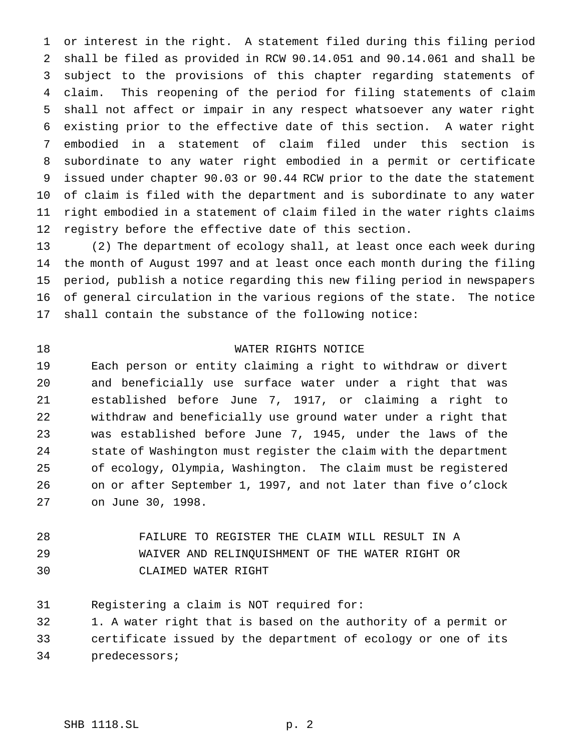or interest in the right. A statement filed during this filing period shall be filed as provided in RCW 90.14.051 and 90.14.061 and shall be subject to the provisions of this chapter regarding statements of claim. This reopening of the period for filing statements of claim shall not affect or impair in any respect whatsoever any water right existing prior to the effective date of this section. A water right embodied in a statement of claim filed under this section is subordinate to any water right embodied in a permit or certificate issued under chapter 90.03 or 90.44 RCW prior to the date the statement of claim is filed with the department and is subordinate to any water right embodied in a statement of claim filed in the water rights claims registry before the effective date of this section.

 (2) The department of ecology shall, at least once each week during the month of August 1997 and at least once each month during the filing period, publish a notice regarding this new filing period in newspapers of general circulation in the various regions of the state. The notice shall contain the substance of the following notice:

# WATER RIGHTS NOTICE

 Each person or entity claiming a right to withdraw or divert and beneficially use surface water under a right that was established before June 7, 1917, or claiming a right to withdraw and beneficially use ground water under a right that was established before June 7, 1945, under the laws of the state of Washington must register the claim with the department of ecology, Olympia, Washington. The claim must be registered on or after September 1, 1997, and not later than five o'clock on June 30, 1998.

 FAILURE TO REGISTER THE CLAIM WILL RESULT IN A WAIVER AND RELINQUISHMENT OF THE WATER RIGHT OR CLAIMED WATER RIGHT

Registering a claim is NOT required for:

 1. A water right that is based on the authority of a permit or certificate issued by the department of ecology or one of its predecessors;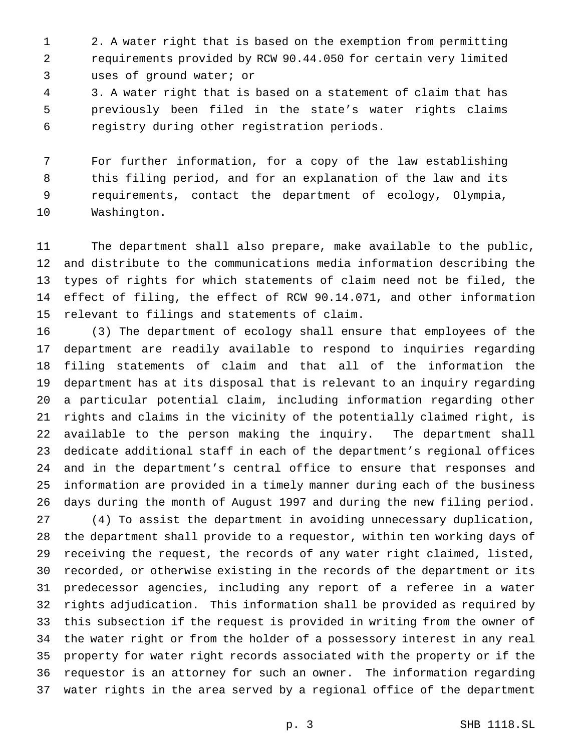2. A water right that is based on the exemption from permitting requirements provided by RCW 90.44.050 for certain very limited uses of ground water; or

 3. A water right that is based on a statement of claim that has previously been filed in the state's water rights claims registry during other registration periods.

 For further information, for a copy of the law establishing this filing period, and for an explanation of the law and its requirements, contact the department of ecology, Olympia, Washington.

 The department shall also prepare, make available to the public, and distribute to the communications media information describing the types of rights for which statements of claim need not be filed, the effect of filing, the effect of RCW 90.14.071, and other information relevant to filings and statements of claim.

 (3) The department of ecology shall ensure that employees of the department are readily available to respond to inquiries regarding filing statements of claim and that all of the information the department has at its disposal that is relevant to an inquiry regarding a particular potential claim, including information regarding other rights and claims in the vicinity of the potentially claimed right, is available to the person making the inquiry. The department shall dedicate additional staff in each of the department's regional offices and in the department's central office to ensure that responses and information are provided in a timely manner during each of the business days during the month of August 1997 and during the new filing period.

 (4) To assist the department in avoiding unnecessary duplication, the department shall provide to a requestor, within ten working days of receiving the request, the records of any water right claimed, listed, recorded, or otherwise existing in the records of the department or its predecessor agencies, including any report of a referee in a water rights adjudication. This information shall be provided as required by this subsection if the request is provided in writing from the owner of the water right or from the holder of a possessory interest in any real property for water right records associated with the property or if the requestor is an attorney for such an owner. The information regarding water rights in the area served by a regional office of the department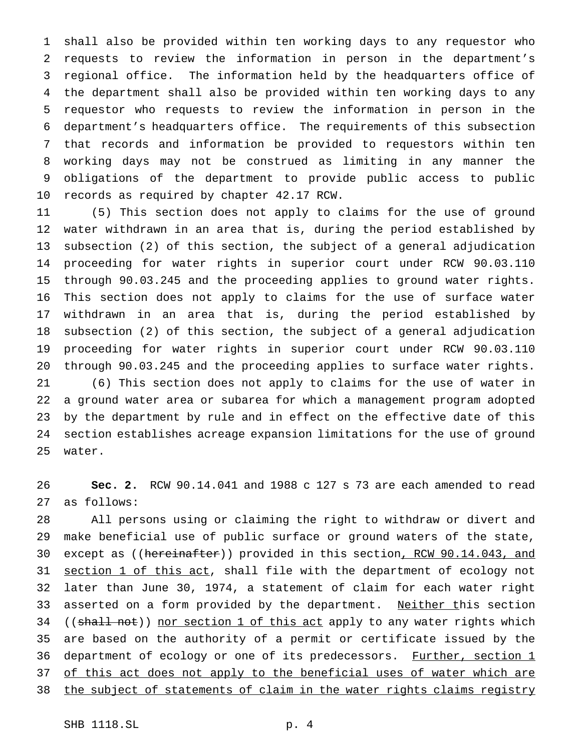shall also be provided within ten working days to any requestor who requests to review the information in person in the department's regional office. The information held by the headquarters office of the department shall also be provided within ten working days to any requestor who requests to review the information in person in the department's headquarters office. The requirements of this subsection that records and information be provided to requestors within ten working days may not be construed as limiting in any manner the obligations of the department to provide public access to public records as required by chapter 42.17 RCW.

 (5) This section does not apply to claims for the use of ground water withdrawn in an area that is, during the period established by subsection (2) of this section, the subject of a general adjudication proceeding for water rights in superior court under RCW 90.03.110 through 90.03.245 and the proceeding applies to ground water rights. This section does not apply to claims for the use of surface water withdrawn in an area that is, during the period established by subsection (2) of this section, the subject of a general adjudication proceeding for water rights in superior court under RCW 90.03.110 through 90.03.245 and the proceeding applies to surface water rights. (6) This section does not apply to claims for the use of water in a ground water area or subarea for which a management program adopted by the department by rule and in effect on the effective date of this section establishes acreage expansion limitations for the use of ground water.

 **Sec. 2.** RCW 90.14.041 and 1988 c 127 s 73 are each amended to read as follows:

 All persons using or claiming the right to withdraw or divert and make beneficial use of public surface or ground waters of the state, 30 except as ((hereinafter)) provided in this section, RCW 90.14.043, and 31 section 1 of this act, shall file with the department of ecology not later than June 30, 1974, a statement of claim for each water right 33 asserted on a form provided by the department. Neither this section 34 ((shall not)) nor section 1 of this act apply to any water rights which are based on the authority of a permit or certificate issued by the 36 department of ecology or one of its predecessors. Further, section 1 of this act does not apply to the beneficial uses of water which are 38 the subject of statements of claim in the water rights claims registry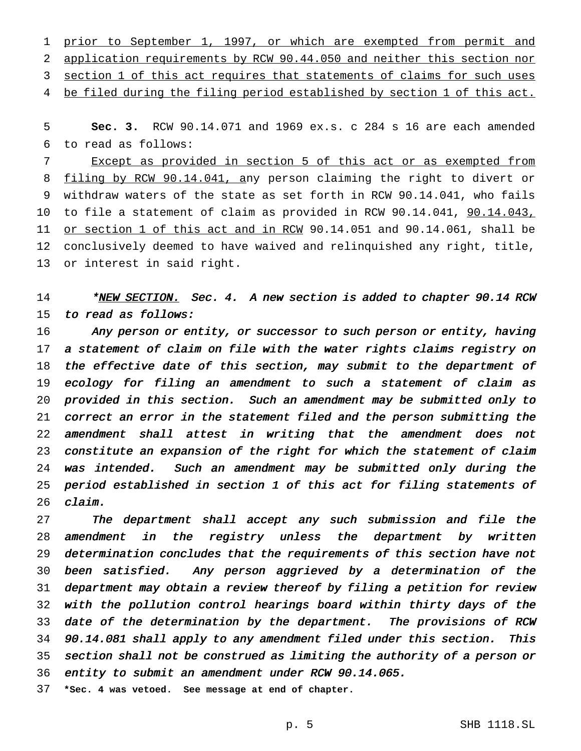1 prior to September 1, 1997, or which are exempted from permit and application requirements by RCW 90.44.050 and neither this section nor 3 section 1 of this act requires that statements of claims for such uses 4 be filed during the filing period established by section 1 of this act.

 **Sec. 3.** RCW 90.14.071 and 1969 ex.s. c 284 s 16 are each amended to read as follows:

 Except as provided in section 5 of this act or as exempted from filing by RCW 90.14.041, any person claiming the right to divert or withdraw waters of the state as set forth in RCW 90.14.041, who fails to file a statement of claim as provided in RCW 90.14.041, 90.14.043, 11 <u>or section 1 of this act and in RCW</u> 90.14.051 and 90.14.061, shall be conclusively deemed to have waived and relinquished any right, title, or interest in said right.

14 \*<u>NEW SECTION.</u> Sec. 4. A new section is added to chapter 90.14 RCW to read as follows:

16 Any person or entity, or successor to such person or entity, having <sup>a</sup> statement of claim on file with the water rights claims registry on the effective date of this section, may submit to the department of ecology for filing an amendment to such <sup>a</sup> statement of claim as provided in this section. Such an amendment may be submitted only to correct an error in the statement filed and the person submitting the amendment shall attest in writing that the amendment does not constitute an expansion of the right for which the statement of claim was intended. Such an amendment may be submitted only during the period established in section <sup>1</sup> of this act for filing statements of claim.

27 The department shall accept any such submission and file the amendment in the registry unless the department by written determination concludes that the requirements of this section have not been satisfied. Any person aggrieved by <sup>a</sup> determination of the department may obtain <sup>a</sup> review thereof by filing <sup>a</sup> petition for review with the pollution control hearings board within thirty days of the date of the determination by the department. The provisions of RCW 90.14.081 shall apply to any amendment filed under this section. This section shall not be construed as limiting the authority of <sup>a</sup> person or entity to submit an amendment under RCW 90.14.065.

**\*Sec. 4 was vetoed. See message at end of chapter.**